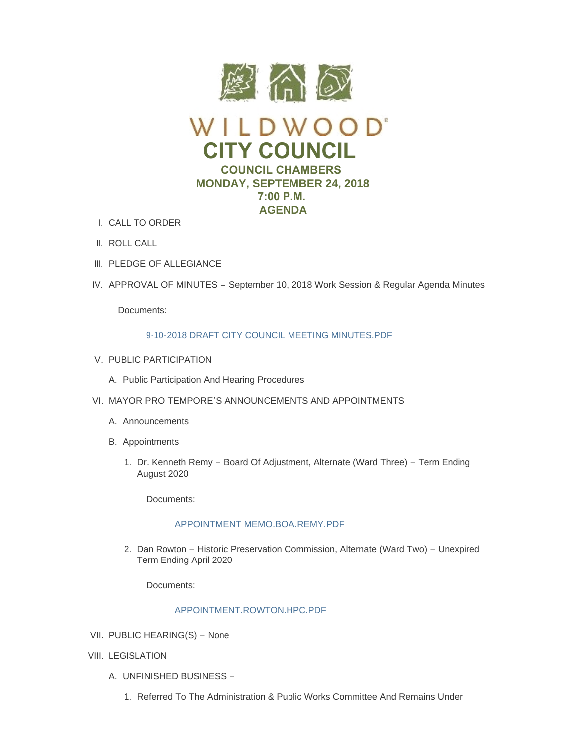

- CALL TO ORDER I.
- II. ROLL CALL
- III. PLEDGE OF ALLEGIANCE
- IV. APPROVAL OF MINUTES September 10, 2018 Work Session & Regular Agenda Minutes

Documents:

## 9-10-2018 DRAFT CITY COUNCIL MEETING MINUTES PDF

- V. PUBLIC PARTICIPATION
	- A. Public Participation And Hearing Procedures
- VI. MAYOR PRO TEMPORE'S ANNOUNCEMENTS AND APPOINTMENTS
	- A. Announcements
	- B. Appointments
		- 1. Dr. Kenneth Remy Board Of Adjustment, Alternate (Ward Three) Term Ending August 2020

Documents:

## [APPOINTMENT MEMO.BOA.REMY.PDF](https://www.cityofwildwood.com/AgendaCenter/ViewFile/Item/17255?fileID=24423)

2. Dan Rowton – Historic Preservation Commission, Alternate (Ward Two) – Unexpired Term Ending April 2020

Documents:

# [APPOINTMENT.ROWTON.HPC.PDF](https://www.cityofwildwood.com/AgendaCenter/ViewFile/Item/17256?fileID=24424)

- VII. PUBLIC HEARING(S) None
- VIII. LEGISLATION
	- UNFINISHED BUSINESS A.
		- 1. Referred To The Administration & Public Works Committee And Remains Under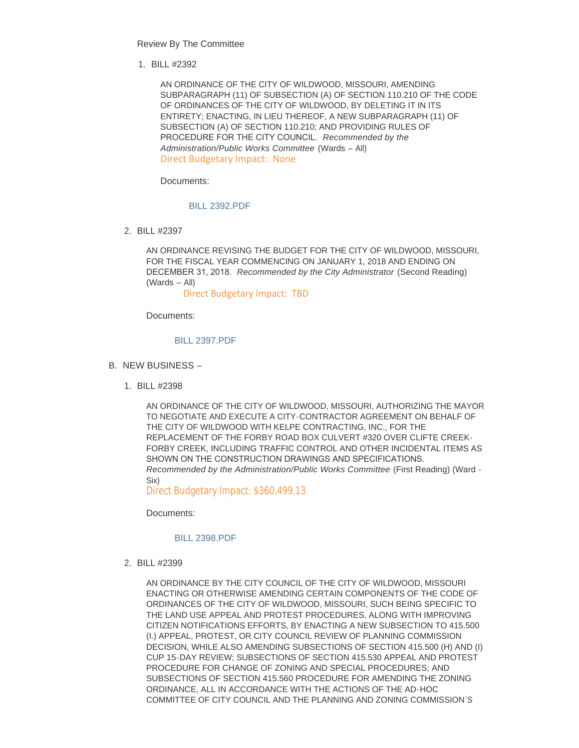Review By The Committee

BILL #2392 1.

AN ORDINANCE OF THE CITY OF WILDWOOD, MISSOURI, AMENDING SUBPARAGRAPH (11) OF SUBSECTION (A) OF SECTION 110.210 OF THE CODE OF ORDINANCES OF THE CITY OF WILDWOOD, BY DELETING IT IN ITS ENTIRETY; ENACTING, IN LIEU THEREOF, A NEW SUBPARAGRAPH (11) OF SUBSECTION (A) OF SECTION 110.210; AND PROVIDING RULES OF PROCEDURE FOR THE CITY COUNCIL. *Recommended by the Administration/Public Works Committee* (Wards – All) Direct Budgetary Impact: None

Documents:

[BILL 2392.PDF](https://www.cityofwildwood.com/AgendaCenter/ViewFile/Item/17232?fileID=24397)

BILL #2397 2.

AN ORDINANCE REVISING THE BUDGET FOR THE CITY OF WILDWOOD, MISSOURI, FOR THE FISCAL YEAR COMMENCING ON JANUARY 1, 2018 AND ENDING ON DECEMBER 31, 2018. *Recommended by the City Administrator* (Second Reading) (Wards – All)

Direct Budgetary Impact: TBD

Documents:

#### [BILL 2397.PDF](https://www.cityofwildwood.com/AgendaCenter/ViewFile/Item/17233?fileID=24398)

- B. NEW BUSINESS
	- BILL #2398 1.

AN ORDINANCE OF THE CITY OF WILDWOOD, MISSOURI, AUTHORIZING THE MAYOR TO NEGOTIATE AND EXECUTE A CITY-CONTRACTOR AGREEMENT ON BEHALF OF THE CITY OF WILDWOOD WITH KELPE CONTRACTING, INC., FOR THE REPLACEMENT OF THE FORBY ROAD BOX CULVERT #320 OVER CLIFTE CREEK-FORBY CREEK, INCLUDING TRAFFIC CONTROL AND OTHER INCIDENTAL ITEMS AS SHOWN ON THE CONSTRUCTION DRAWINGS AND SPECIFICATIONS. *Recommended by the Administration/Public Works Committee* (First Reading) (Ward - Six)

Direct Budgetary Impact: \$360,499.13

Documents:

#### [BILL 2398.PDF](https://www.cityofwildwood.com/AgendaCenter/ViewFile/Item/17235?fileID=24399)

BILL #2399 2.

AN ORDINANCE BY THE CITY COUNCIL OF THE CITY OF WILDWOOD, MISSOURI ENACTING OR OTHERWISE AMENDING CERTAIN COMPONENTS OF THE CODE OF ORDINANCES OF THE CITY OF WILDWOOD, MISSOURI, SUCH BEING SPECIFIC TO THE LAND USE APPEAL AND PROTEST PROCEDURES, ALONG WITH IMPROVING CITIZEN NOTIFICATIONS EFFORTS, BY ENACTING A NEW SUBSECTION TO 415.500 (I.) APPEAL, PROTEST, OR CITY COUNCIL REVIEW OF PLANNING COMMISSION DECISION, WHILE ALSO AMENDING SUBSECTIONS OF SECTION 415.500 (H) AND (I) CUP 15-DAY REVIEW; SUBSECTIONS OF SECTION 415.530 APPEAL AND PROTEST PROCEDURE FOR CHANGE OF ZONING AND SPECIAL PROCEDURES; AND SUBSECTIONS OF SECTION 415.560 PROCEDURE FOR AMENDING THE ZONING ORDINANCE, ALL IN ACCORDANCE WITH THE ACTIONS OF THE AD-HOC COMMITTEE OF CITY COUNCIL AND THE PLANNING AND ZONING COMMISSION'S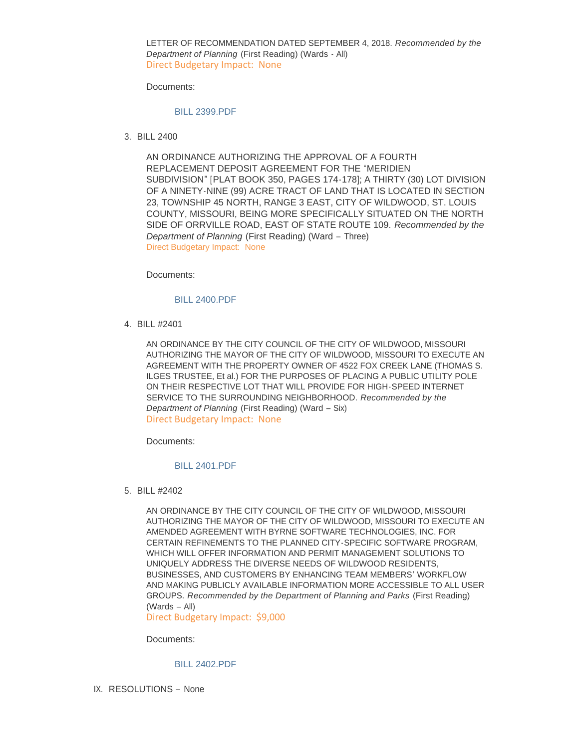LETTER OF RECOMMENDATION DATED SEPTEMBER 4, 2018. *Recommended by the Department of Planning* (First Reading) (Wards - All) Direct Budgetary Impact: None

Documents:

### [BILL 2399.PDF](https://www.cityofwildwood.com/AgendaCenter/ViewFile/Item/17237?fileID=24413)

BILL 2400 3.

AN ORDINANCE AUTHORIZING THE APPROVAL OF A FOURTH REPLACEMENT DEPOSIT AGREEMENT FOR THE "MERIDIEN SUBDIVISION" [PLAT BOOK 350, PAGES 174-178]; A THIRTY (30) LOT DIVISION OF A NINETY-NINE (99) ACRE TRACT OF LAND THAT IS LOCATED IN SECTION 23, TOWNSHIP 45 NORTH, RANGE 3 EAST, CITY OF WILDWOOD, ST. LOUIS COUNTY, MISSOURI, BEING MORE SPECIFICALLY SITUATED ON THE NORTH SIDE OF ORRVILLE ROAD, EAST OF STATE ROUTE 109. *Recommended by the Department of Planning* (First Reading) (Ward – Three) Direct Budgetary Impact: None

Documents:

#### [BILL 2400.PDF](https://www.cityofwildwood.com/AgendaCenter/ViewFile/Item/17247?fileID=24403)

BILL #2401 4.

AN ORDINANCE BY THE CITY COUNCIL OF THE CITY OF WILDWOOD, MISSOURI AUTHORIZING THE MAYOR OF THE CITY OF WILDWOOD, MISSOURI TO EXECUTE AN AGREEMENT WITH THE PROPERTY OWNER OF 4522 FOX CREEK LANE (THOMAS S. ILGES TRUSTEE, Et al.) FOR THE PURPOSES OF PLACING A PUBLIC UTILITY POLE ON THEIR RESPECTIVE LOT THAT WILL PROVIDE FOR HIGH-SPEED INTERNET SERVICE TO THE SURROUNDING NEIGHBORHOOD. *Recommended by the Department of Planning* (First Reading) (Ward – Six) Direct Budgetary Impact: None

Documents:

#### [BILL 2401.PDF](https://www.cityofwildwood.com/AgendaCenter/ViewFile/Item/17239?fileID=24414)

BILL #2402 5.

AN ORDINANCE BY THE CITY COUNCIL OF THE CITY OF WILDWOOD, MISSOURI AUTHORIZING THE MAYOR OF THE CITY OF WILDWOOD, MISSOURI TO EXECUTE AN AMENDED AGREEMENT WITH BYRNE SOFTWARE TECHNOLOGIES, INC. FOR CERTAIN REFINEMENTS TO THE PLANNED CITY-SPECIFIC SOFTWARE PROGRAM, WHICH WILL OFFER INFORMATION AND PERMIT MANAGEMENT SOLUTIONS TO UNIQUELY ADDRESS THE DIVERSE NEEDS OF WILDWOOD RESIDENTS, BUSINESSES, AND CUSTOMERS BY ENHANCING TEAM MEMBERS' WORKFLOW AND MAKING PUBLICLY AVAILABLE INFORMATION MORE ACCESSIBLE TO ALL USER GROUPS. *Recommended by the Department of Planning and Parks* (First Reading) (Wards – All)

Direct Budgetary Impact: \$9,000

Documents:

#### [BILL 2402.PDF](https://www.cityofwildwood.com/AgendaCenter/ViewFile/Item/17240?fileID=24415)

IX. RESOLUTIONS - None